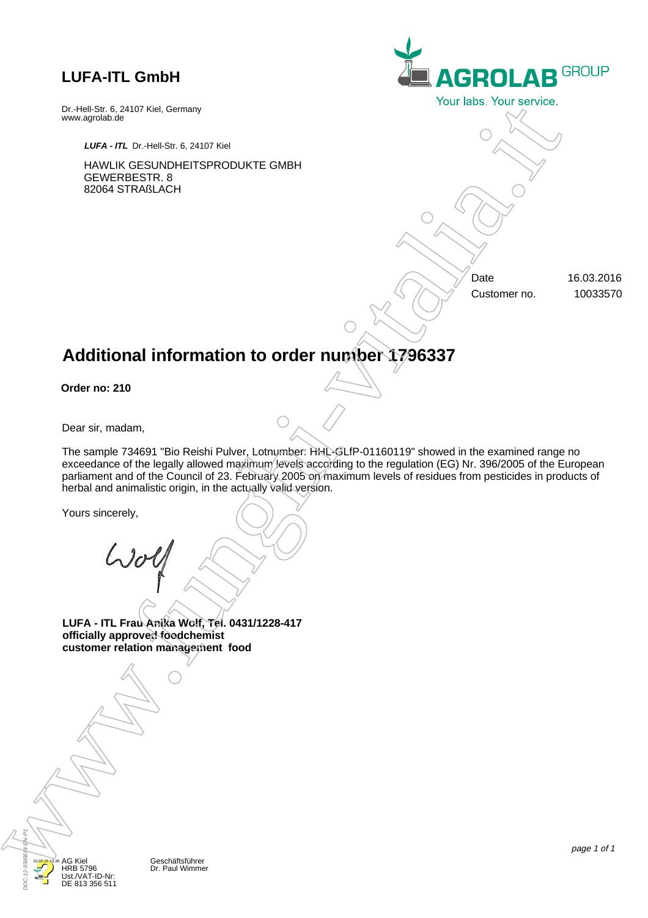www.agrolab.de

GEWERBESTR. 8 82064 STRAßLACH

Dr.-Hell-Str. 6, 24107 Kiel, Germany

*LUFA - ITL* Dr.-Hell-Str. 6, 24107 Kiel

HAWLIK GESUNDHEITSPRODUKTE GMBH

**AGROLAB GROUP** Dr. Paul Wimmer and the Control of Dr. Paul Wimmer and the Control of Dr. Paul Wimmer and the Control of Dr. Paul Wimmer and the Control of Dr. Paul Wimmer and the Control of Dr. Paul Wimmer and the Control of Dr. Paul Wi

Date 16.03.2016 Customer no. 10033570

# **Additional information to order number 1796337**

**Order no: 210**

Dear sir, madam,

The sample 734691 "Bio Reishi Pulver, Lotnumber: HHL-GLfP-01160119" showed in the examined range no exceedance of the legally allowed maximum levels according to the regulation (EG) Nr. 396/2005 of the European parliament and of the Council of 23. February 2005 on maximum levels of residues from pesticides in products of herbal and animalistic origin, in the actually valid version.

Yours sincerely,

**LUFA - ITL Frau Anika Wolf, Tel. 0431/1228-417 officially approved foodchemist customer relation management food**

DOC-12-9385614-EN-P1

16.03.16 13:38

AG Kiel HRB 5796 Ust./VAT-ID-Nr: DE 813 356 511 page 1 of 1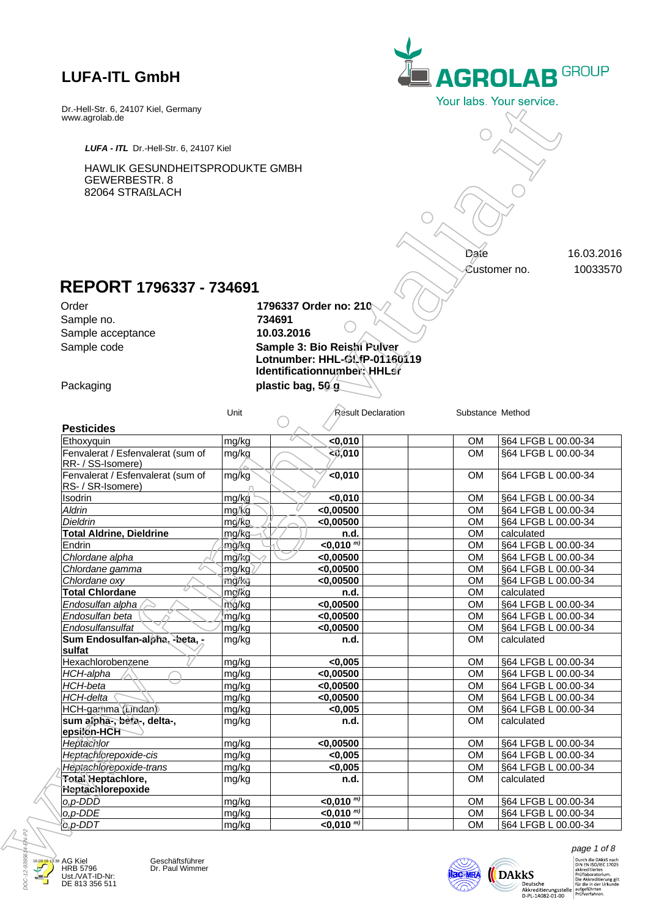

# **REPORT 1796337 - 734691**

| LUFA - ITL Dr.-Hell-Str. 6, 24107 Kiel                              |                |                                                            |                           |                        |                                                                                                                 |
|---------------------------------------------------------------------|----------------|------------------------------------------------------------|---------------------------|------------------------|-----------------------------------------------------------------------------------------------------------------|
| HAWLIK GESUNDHEITSPRODUKTE GMBH<br>GEWERBESTR. 8<br>82064 STRAßLACH |                |                                                            |                           |                        |                                                                                                                 |
|                                                                     |                |                                                            |                           | Date                   | 16.03.2016                                                                                                      |
|                                                                     |                |                                                            |                           | Customer no.           |                                                                                                                 |
| REPORT 1796337 - 734691                                             |                |                                                            |                           |                        |                                                                                                                 |
| Order                                                               |                | 1796337 Order no: 210                                      |                           |                        |                                                                                                                 |
| Sample no.                                                          |                | 734691                                                     |                           |                        |                                                                                                                 |
| Sample acceptance                                                   |                | 10.03.2016                                                 |                           |                        |                                                                                                                 |
| Sample code                                                         |                | Sample 3: Bio Reishi/Pulver                                |                           |                        |                                                                                                                 |
|                                                                     |                | Lotnumber: HHL-GLfP-01160119<br>Identificationnumber HHLsr |                           |                        |                                                                                                                 |
| Packaging                                                           |                | plastic bag, 50 g                                          |                           |                        |                                                                                                                 |
|                                                                     |                |                                                            |                           |                        |                                                                                                                 |
|                                                                     | Unit           |                                                            | <b>Result Declaration</b> | Substance Method       |                                                                                                                 |
| <b>Pesticides</b>                                                   |                |                                                            |                           |                        |                                                                                                                 |
| Ethoxyquin                                                          | mg/kg          | $0,010$                                                    |                           | <b>OM</b>              | §64 LFGB L 00.00-34                                                                                             |
| Fenvalerat / Esfenvalerat (sum of<br>RR- / SS-Isomere)              | mg/kg          | 20,010                                                     |                           | <b>OM</b>              | §64 LFGB L 00.00-34                                                                                             |
| Fenvalerat / Esfenvalerat (sum of<br>RS- / SR-Isomere)              | mg/kg          | $0,010$                                                    |                           | <b>OM</b>              | §64 LFGB L 00.00-34                                                                                             |
| Isodrin                                                             | mg/kg/         | < 0,010                                                    |                           | <b>OM</b>              | §64 LFGB L 00.00-34                                                                                             |
| Aldrin                                                              | mg/kg          | $<$ 0,00500                                                |                           | <b>OM</b>              | §64 LFGB L 00.00-34                                                                                             |
| Dieldrin                                                            | mg/kg          | < 0,00500                                                  |                           | <b>OM</b>              | §64 LFGB L 00.00-34                                                                                             |
| <b>Total Aldrine, Dieldrine</b>                                     | mg/kg          | n.d.                                                       |                           | <b>OM</b>              | calculated                                                                                                      |
| Endrin                                                              | mg/kg          | $<$ 0,010 $^{m}$                                           |                           | <b>OM</b>              | §64 LFGB L 00.00-34                                                                                             |
| Chlordane alpha<br>Chlordane gamma                                  | mg/kg          | < 0,00500<br>$<$ 0,00500                                   |                           | <b>OM</b><br><b>OM</b> | §64 LFGB L 00.00-34                                                                                             |
| Chlordane oxy                                                       | mg/kg<br>mg/kg | $<$ 0,00500                                                |                           | <b>OM</b>              | §64 LFGB L 00.00-34<br>§64 LFGB L 00.00-34                                                                      |
| <b>Total Chlordane</b>                                              | mo/kg          | n.d.                                                       |                           | OМ                     | calculated                                                                                                      |
| Endosulfan alpha                                                    | mg/kg          | $<$ 0,00500                                                |                           | <b>OM</b>              | §64 LFGB L 00.00-34                                                                                             |
| Endosulfan beta                                                     | mg/kg          | < 0.00500                                                  |                           | <b>OM</b>              | §64 LFGB L 00.00-34                                                                                             |
| Endosulfansulfat                                                    | mg/kg          | $<$ 0,00500                                                |                           | <b>OM</b>              | §64 LFGB L 00.00-34                                                                                             |
| Sum Endosulfan-alpha, -beta, -<br>sulfat                            | mg/kg          | n.d.                                                       |                           | <b>OM</b>              | calculated                                                                                                      |
| Hexachlorobenzene                                                   | mg/kg          | <0,005                                                     |                           | <b>OM</b>              | §64 LFGB L 00.00-34                                                                                             |
| HCH-alpha                                                           | mg/kg          | $<$ 0,00500                                                |                           | <b>OM</b>              | §64 LFGB L 00.00-34                                                                                             |
| HCH-beta                                                            | mg/kg          | $<$ 0,00500                                                |                           | <b>OM</b>              | §64 LFGB L 00.00-34                                                                                             |
|                                                                     | mg/kg          | $<$ 0,00500                                                |                           | <b>OM</b>              | §64 LFGB L 00.00-34                                                                                             |
| HCH-delta                                                           | mg/kg          | < 0,005                                                    |                           | <b>OM</b>              | §64 LFGB L 00.00-34                                                                                             |
|                                                                     |                |                                                            |                           | <b>OM</b>              | calculated                                                                                                      |
| sum alpha-, beta-, delta-,                                          | mg/kg          | n.d.                                                       |                           |                        |                                                                                                                 |
| Heptachlor                                                          | mg/kg          | < 0,00500                                                  |                           | OM                     |                                                                                                                 |
| HCH-gamma (Undan)<br>epsilon-HCH<br>Heptachlorepoxide-cis           | mg/kg          | < 0,005                                                    |                           | <b>OM</b>              |                                                                                                                 |
| Heptachlorepoxide-trans                                             | mg/kg          | < 0,005                                                    |                           | <b>OM</b>              |                                                                                                                 |
| Total Heptachlore,                                                  | mg/kg          | n.d.                                                       |                           | <b>OM</b>              | calculated                                                                                                      |
| Heptachlorepoxide                                                   |                |                                                            |                           |                        |                                                                                                                 |
| $o, p$ -DDD<br>o,p-DDE                                              | mg/kg<br>mg/kg | $<$ 0,010 $^{m}$<br>$<$ 0,010 $m$                          |                           | <b>OM</b><br><b>OM</b> | §64 LFGB L 00.00-34<br>§64 LFGB L 00.00-34<br>§64 LFGB L 00.00-34<br>§64 LFGB L 00.00-34<br>§64 LFGB L 00.00-34 |



AG Kiel HRB 5796 Ust./VAT-ID-Nr: DE 813 356 511 Geschäftsführer<br>Dr. Paul Wimmer



 $\begin{array}{ll} \textit{page 1 of 8} \\ & \textit{purple 1 of 8} \\ & \textit{blue 10} \\ & \textit{blue 18} \\ & \textit{blue 21702} \\ & \textit{blue 3} \\ \textit{bmological 20} \\ & \textit{blue 4} \\ & \textit{blue 4} \\ \textit{blue 5} \\ & \textit{blue 6} \\ & \textit{blue 7} \\ \textit{blue 8} \\ \textit{blue 9} \\ \textit{blue 10} \\ \textit{blue 10} \\ \textit{blue 10} \\ \textit{blue 11} \\ \textit{blue 12} \\ \textit{blue 21} \\ \textit{$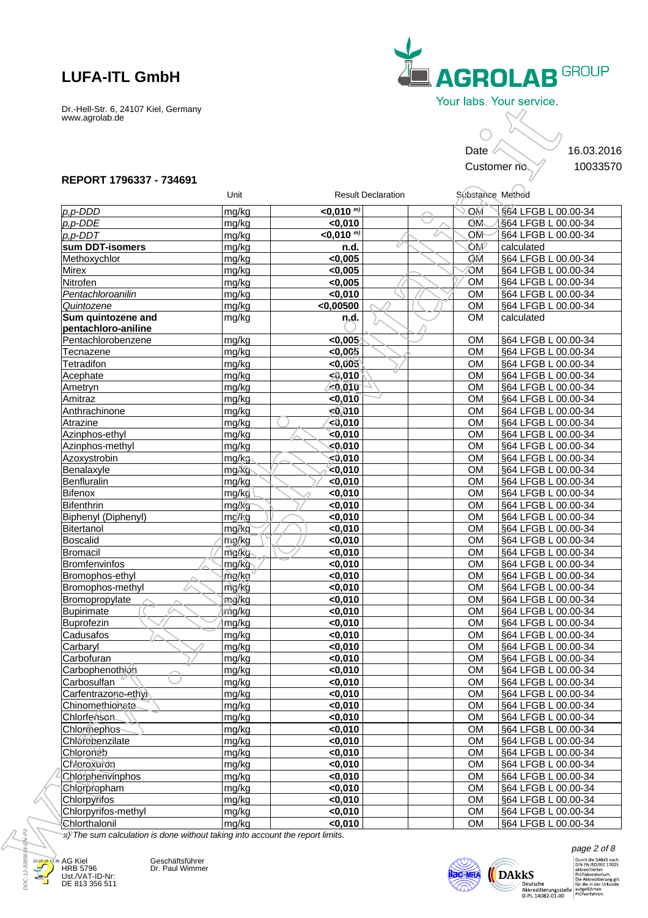

### **REPORT 1796337 - 734691**

|                                                                                                      |                    |                             |                           | Date                   | 16.03.2016<br>Customer no.                 |
|------------------------------------------------------------------------------------------------------|--------------------|-----------------------------|---------------------------|------------------------|--------------------------------------------|
| REPORT 1796337 - 734691                                                                              | Unit               |                             | <b>Result Declaration</b> | Substance Method       |                                            |
| $p, p$ -DDD                                                                                          | mg/kg              | $\leq$ 0,010 $^{m}$         |                           | МO                     | S64 LFGB L 00.00-34                        |
| $p, p$ -DDE                                                                                          | mg/kg              | < 0,010                     |                           | OM                     | §64 LFGB L 00.00-34                        |
| $p, p$ -DDT                                                                                          | mg/kg              | $<$ 0,010 $^{\overline{m}}$ |                           | OM                     | §64 LFGB L 00.00-34                        |
| sum DDT-isomers                                                                                      | mg/kg              | n.d.                        |                           | <b>OM</b>              | calculated                                 |
| Methoxychlor                                                                                         | mg/kg              | <0,005                      |                           | ÒМ                     | §64 LFGB L 00.00-34                        |
| Mirex                                                                                                | mg/kg              | < 0,005                     |                           | ЮM                     | §64 LFGB L 00.00-34                        |
| Nitrofen                                                                                             | mg/kg              | < 0,005                     |                           | <b>OM</b>              | §64 LFGB L 00.00-34                        |
| Pentachloroanilin                                                                                    | mg/kg              | < 0,010                     |                           | <b>OM</b>              | §64 LFGB L 00.00-34                        |
| Quintozene                                                                                           | mg/kg              | $<$ 0,00500                 |                           | <b>OM</b>              | §64 LFGB L 00.00-34                        |
| Sum quintozene and<br>pentachloro-aniline                                                            | mg/kg              | n.d.                        |                           | <b>OM</b>              | calculated                                 |
| Pentachlorobenzene                                                                                   | mg/kg              | <0.005                      |                           | <b>OM</b>              | §64 LFGB L 00.00-34                        |
| Tecnazene                                                                                            | mg/kg              | $<$ 0,005 $^{\circ}$        |                           | <b>OM</b>              | §64 LFGB L 00.00-34                        |
| Tetradifon                                                                                           | mg/kg              | $<$ 0,005 $\backslash$      |                           | <b>OM</b>              | §64 LFGB L 00.00-34                        |
| Acephate                                                                                             | mg/kg              | < 0.010                     |                           | <b>OM</b>              | §64 LFGB L 00.00-34                        |
| Ametryn                                                                                              | mg/kg              | 40,010                      |                           | <b>OM</b>              | §64 LFGB L 00.00-34                        |
| Amitraz                                                                                              | mg/kg              | < 0,010                     |                           | <b>OM</b>              | §64 LFGB L 00.00-34                        |
| Anthrachinone                                                                                        | mg/kg              | < 0.010                     |                           | <b>OM</b>              | §64 LFGB L 00.00-34                        |
| Atrazine                                                                                             | mg/kg              | ∕ג0,010                     |                           | <b>OM</b>              | §64 LFGB L 00.00-34                        |
| Azinphos-ethyl                                                                                       | mg/kg              | $\le 0,010$                 |                           | <b>OM</b>              | §64 LFGB L 00.00-34                        |
| Azinphos-methyl                                                                                      | mg/kg              | < 0,010                     |                           | <b>OM</b>              | §64 LFGB L 00.00-34                        |
| Azoxystrobin                                                                                         | mg/kg              | <0,010                      |                           | <b>OM</b>              | §64 LFGB L 00.00-34                        |
| Benalaxyle                                                                                           | mg/kg              | $0,010$                     |                           | <b>OM</b>              | §64 LFGB L 00.00-34                        |
| Benfluralin                                                                                          | mg/kg              | <0,010                      |                           | <b>OM</b>              | §64 LFGB L 00.00-34                        |
| Bifenox                                                                                              | mg/kg/             | <0,010                      |                           | <b>OM</b>              | §64 LFGB L 00.00-34                        |
| Bifenthrin                                                                                           | mg/kg              | <0,010                      |                           | <b>OM</b>              | §64 LFGB L 00.00-34                        |
| Biphenyl (Diphenyl)                                                                                  | mg/kg              | <0,010                      |                           | <b>OM</b>              | §64 LFGB L 00.00-34                        |
| Bitertanol<br>Boscalid                                                                               | mg/kg              | <0,010<br><0,010            |                           | <b>OM</b><br><b>OM</b> | §64 LFGB L 00.00-34<br>§64 LFGB L 00.00-34 |
| Bromacil                                                                                             | mg/kg<br>mg/kg     | <0,010                      |                           | <b>OM</b>              | §64 LFGB L 00.00-34                        |
| Bromfenvinfos                                                                                        | mg/kg              | < 0,010                     |                           | <b>OM</b>              | §64 LFGB L 00.00-34                        |
| Bromophos-ethyl                                                                                      | mg/ka <sup>4</sup> | <0,010                      |                           | <b>OM</b>              | §64 LFGB L 00.00-34                        |
| Bromophos-methyl                                                                                     | mg/kg              | $0,010$                     |                           | <b>OM</b>              | §64 LFGB L 00.00-34                        |
| Bromopropylate                                                                                       | mig/kg             | < 0,010                     |                           | <b>OM</b>              | §64 LFGB L 00.00-34                        |
| Bupirimate                                                                                           | ነሰg/kg             | <0,010                      |                           | <b>OM</b>              | §64 LFGB L 00.00-34                        |
| Buprofezin                                                                                           | mg/kg              | <0,010                      |                           | <b>OM</b>              | §64 LFGB L 00.00-34                        |
| Cadusafos                                                                                            | mg/kg              | <0,010                      |                           | <b>OM</b>              | §64 LFGB L 00.00-34                        |
| Carbaryl                                                                                             | mg/kg              | <0,010                      |                           | <b>OM</b>              | §64 LFGB L 00.00-34                        |
| Carbofuran                                                                                           | mg/kg              | $0,010$                     |                           | <b>OM</b>              | §64 LFGB L 00.00-34                        |
| Carbophenothion                                                                                      | mg/kg              | <0,010                      |                           | <b>OM</b>              | §64 LFGB L 00.00-34                        |
| Carbosulfan                                                                                          | mg/kg              | < 0,010                     |                           | <b>OM</b>              | §64 LFGB L 00.00-34                        |
| Carfentrazone-ethyl                                                                                  | mg/kg              | $0,010$                     |                           | <b>OM</b>              | §64 LFGB L 00.00-34                        |
| Chinomethionate                                                                                      | mg/kg              | <0,010                      |                           | <b>OM</b>              | §64 LFGB L 00.00-34                        |
| Chlorfenson                                                                                          | mg/kg              | <0,010                      |                           | <b>OM</b>              | §64 LFGB L 00.00-34                        |
| Chlormephos                                                                                          | mg/kg              | <0,010                      |                           | <b>OM</b>              | §64 LFGB L 00.00-34                        |
| Chlorobenzilate                                                                                      | mg/kg              | <0,010                      |                           | <b>OM</b>              | §64 LFGB L 00.00-34                        |
| Criloroneb                                                                                           | mg/kg              | $0,010$                     |                           | <b>OM</b>              | §64 LFGB L 00.00-34                        |
| Chloroxuron                                                                                          | mg/kg              | <0,010                      |                           | <b>OM</b>              | §64 LFGB L 00.00-34                        |
| Chlorchenvinphos                                                                                     | mg/kg              | <0,010                      |                           | <b>OM</b>              | §64 LFGB L 00.00-34                        |
| <b>Chlorpropham</b>                                                                                  | mg/kg              | <0,010                      |                           | <b>OM</b>              | §64 LFGB L 00.00-34                        |
| Chlorpyrifos                                                                                         | mg/kg              | < 0,010                     |                           | <b>OM</b>              | §64 LFGB L 00.00-34                        |
| Chlorpyrifos-methyl                                                                                  | mg/kg              | < 0,010                     |                           | <b>OM</b>              | §64 LFGB L 00.00-34                        |
| Chlorthalonil<br>$\chi$ ) The sum calculation is done without taking into account the report limits. | mg/kg              | <0,010                      |                           | <b>OM</b>              | §64 LFGB L 00.00-34                        |



AG Kiel HRB 5796 Ust./VAT-ID-Nr: DE 813 356 511

Geschäftsführer<br>Dr. Paul Wimmer



 $\begin{array}{ll} \textit{page 2 of 8} \\ & \textit{pure die Dakk S nach} \\ \textit{Durb (B) E F} \\ & \textit{on } \textit{SN E} \\ & \textit{a-kkreditierues} \\ & \textit{Preiflaboratorium,} \\ \textit{Die Akkreditierung, gilt} \\ \textit{Akkreditierungsstelle} \\ & \textit{aufgeführten} \\ \textit{D-PL-14082-01-00} \end{array}$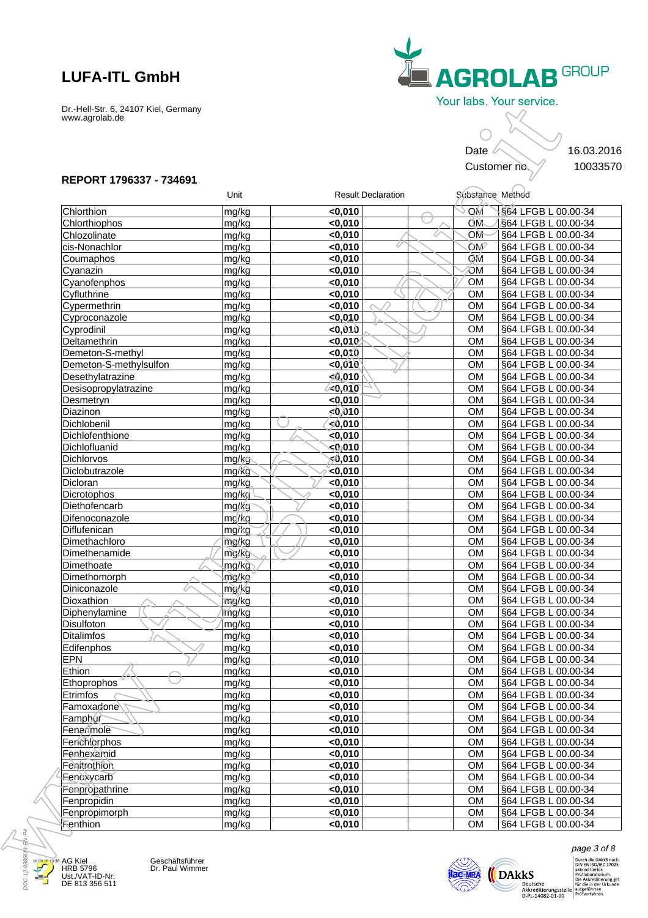

### **REPORT 1796337 - 734691**

|                                 |                |                    |                           | Date                   | 16.03.2016<br>Customer no.                 |
|---------------------------------|----------------|--------------------|---------------------------|------------------------|--------------------------------------------|
| REPORT 1796337 - 734691         |                |                    |                           |                        |                                            |
|                                 | Unit           |                    | <b>Result Declaration</b> |                        | Substance Method                           |
| Chlorthion                      | mg/kg          | < 0,010            |                           | МO                     | S64 LFGB L 00.00-34                        |
| Chlorthiophos                   | mg/kg          | < 0,010            |                           | OM                     | §64 LFGB L 00.00-34                        |
| Chlozolinate                    | mg/kg          | <0,010             |                           | OM                     | §64 LFGB L 00.00-34                        |
| cis-Nonachlor                   | mg/kg          | < 0,010            |                           | <b>OM</b>              | §64 LFGB L 00.00-34                        |
| Coumaphos                       | mg/kg          | <0,010             |                           | ÒМ                     | §64 LFGB L 00.00-34                        |
| Cyanazin                        | mg/kg          | <0,010             |                           | ЮM                     | §64 LFGB L 00.00-34<br>§64 LFGB L 00.00-34 |
| Cyanofenphos<br>Cyfluthrine     | mg/kg<br>mg/kg | < 0,010<br>< 0,010 |                           | <b>OM</b><br><b>OM</b> | §64 LFGB L 00.00-34                        |
| Cypermethrin                    | mg/kg          | $0,010$            |                           | <b>OM</b>              | §64 LFGB L 00.00-34                        |
| Cyproconazole                   | mg/kg          | <0,010             |                           | <b>OM</b>              | §64 LFGB L 00.00-34                        |
| Cyprodinil                      | mg/kg          | 0,040              |                           | <b>OM</b>              | §64 LFGB L 00.00-34                        |
| Deltamethrin                    | mg/kg          | < 0,010            |                           | <b>OM</b>              | §64 LFGB L 00.00-34                        |
| Demeton-S-methyl                | mg/kg          | < 0,010            |                           | <b>OM</b>              | §64 LFGB L 00.00-34                        |
| Demeton-S-methylsulfon          | mg/kg          | <0,010             |                           | <b>OM</b>              | §64 LFGB L 00.00-34                        |
| Desethylatrazine                | mg/kg          | 50,010             |                           | <b>OM</b>              | §64 LFGB L 00.00-34                        |
| Desisopropylatrazine            | mg/kg          | $\leq 0.010$       |                           | <b>OM</b>              | §64 LFGB L 00.00-34                        |
| Desmetryn                       | mg/kg          | <0,010             |                           | <b>OM</b>              | §64 LFGB L 00.00-34                        |
| Diazinon                        | mg/kg          | 50,010             |                           | <b>OM</b>              | §64 LFGB L 00.00-34                        |
| Dichlobenil                     | mg/kg          | 10,0⊜∕≽            |                           | <b>OM</b>              | §64 LFGB L 00.00-34                        |
| Dichlofenthione                 | mg/kg          | < 0,010            |                           | <b>OM</b>              | §64 LFGB L 00.00-34                        |
| Dichlofluanid                   | mg/kg          | $0$ 010            |                           | <b>OM</b>              | §64 LFGB L 00.00-34                        |
| Dichlorvos                      | mg/kg          | 010,∂⊳ٍ            |                           | <b>OM</b>              | §64 LFGB L 00.00-34                        |
| Diclobutrazole                  | mg/kg          | $<$ 0,010          |                           | <b>OM</b>              | §64 LFGB L 00.00-34                        |
| Dicloran                        | mg/kg          | <0,010             |                           | <b>OM</b>              | §64 LFGB L 00.00-34                        |
| Dicrotophos                     | mg/kg          | $0,010$            |                           | <b>OM</b>              | §64 LFGB L 00.00-34                        |
| Diethofencarb                   | mg/kg          | <0,010             |                           | OM                     | §64 LFGB L 00.00-34                        |
| Difenoconazole                  | mg/kg          | < 0,010            |                           | <b>OM</b>              | §64 LFGB L 00.00-34                        |
| Diflufenican                    | mg/kg          | < 0,010            |                           | <b>OM</b>              | §64 LFGB L 00.00-34                        |
| Dimethachloro                   | mg/kg          | $0,010$            |                           | <b>OM</b>              | §64 LFGB L 00.00-34                        |
| Dimethenamide                   | mg/kg          | < 0,010            |                           | <b>OM</b>              | §64 LFGB L 00.00-34                        |
| Dimethoate                      | mg/kg          | <0,010             |                           | <b>OM</b>              | §64 LFGB L 00.00-34                        |
| <b>Dimethomorph</b>             | mg/kg          | < 0,010            |                           | <b>OM</b>              | §64 LFGB L 00.00-34                        |
| Diniconazole                    | mg/kg          | < 0,010            |                           | OM                     | §64 LFGB L 00.00-34                        |
| Dioxathion                      | πîg⁄kg         | < 0,010            |                           | OM.                    | \$64 LFGB L 00.00-34                       |
| Diphenylamine                   | mg/kg          | <0,010             |                           | <b>OM</b>              | §64 LFGB L 00.00-34                        |
| Disulfoton<br><b>Ditalimfos</b> | mg/kg          | <0,010             |                           | <b>OM</b><br><b>OM</b> | §64 LFGB L 00.00-34                        |
| Edifenphos                      | mg/kg<br>mg/kg | <0,010<br><0,010   |                           | <b>OM</b>              | §64 LFGB L 00.00-34<br>§64 LFGB L 00.00-34 |
| <b>EPN</b>                      | mg/kg          | $0,010$            |                           | <b>OM</b>              | §64 LFGB L 00.00-34                        |
| Ethion                          | mg/kg          | $0,010$            |                           | <b>OM</b>              | §64 LFGB L 00.00-34                        |
| Ethoprophos,                    | mg/kg          | <0,010             |                           | <b>OM</b>              | §64 LFGB L 00.00-34                        |
| Etrimfos                        | mg/kg          | < 0,010            |                           | <b>OM</b>              | §64 LFGB L 00.00-34                        |
| Famoxadone                      | mg/kg          | $0,010$            |                           | <b>OM</b>              | §64 LFGB L 00.00-34                        |
| Famphur                         | mg/kg          | <0,010             |                           | <b>OM</b>              | §64 LFGB L 00.00-34                        |
| Fenarimole                      | mg/kg          | $0,010$            |                           | <b>OM</b>              | §64 LFGB L 00.00-34                        |
| Fenchlorphos                    | mg/kg          | <0,010             |                           | <b>OM</b>              | §64 LFGB L 00.00-34                        |
| Fénhexamid                      | mg/kg          | <0,010             |                           | <b>OM</b>              | §64 LFGB L 00.00-34                        |
| Fenitrothion                    | mg/kg          | <0,010             |                           | <b>OM</b>              | §64 LFGB L 00.00-34                        |
| Fenoxycarb                      | mg/kg          | $0,010$            |                           | <b>OM</b>              | §64 LFGB L 00.00-34                        |
| Fenpropathrine                  | mg/kg          | $0,010$            |                           | <b>OM</b>              | §64 LFGB L 00.00-34                        |
| Fenpropidin                     | mg/kg          | $0,010$            |                           | <b>OM</b>              | §64 LFGB L 00.00-34                        |
| Fenpropimorph                   | mg/kg          | < 0,010            |                           | <b>OM</b>              | §64 LFGB L 00.00-34                        |
| Fenthion                        | mg/kg          | <0,010             |                           | <b>OM</b>              | §64 LFGB L 00.00-34                        |



AG Kiel HRB 5796 Ust./VAT-ID-Nr: DE 813 356 511 Geschäftsführer<br>Dr. Paul Wimmer



 $\pmb{\text{page 3 of 8}} \\ \text{Durch die Dakk S nach}\n\text{Durch die Dakk S nach}\n\text{C}\text{K}\text{S}\n\text{wikkreditieres}\n\text{C}\text{Fóflaboratorium}\n\text{Diekkeditierung gilt}\n\text{Akkredititerungsstelle}\n\text{Mikredititerungsstelle}\n\text{digeführten}\n\text{D-PL-14082-01-00}\n\text{Priiverfahren}\n$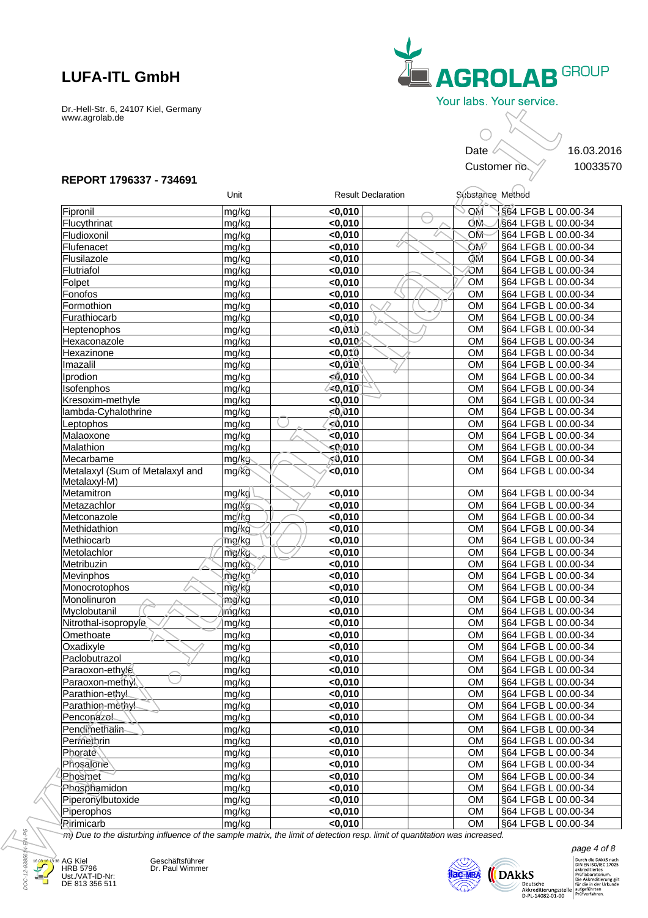

### **REPORT 1796337 - 734691**

|                                                 |                    |              |                           | Date             | 16.03.2016<br>Customer no. |
|-------------------------------------------------|--------------------|--------------|---------------------------|------------------|----------------------------|
| REPORT 1796337 - 734691                         | Unit               |              | <b>Result Declaration</b> | Substance Method |                            |
| Fipronil                                        | mg/kg              | < 0,010      |                           | МO               | S64 LFGB L 00.00-34        |
| Flucythrinat                                    | mg/kg              | < 0,010      |                           | OM               | §64 LFGB L 00.00-34        |
| Fludioxonil                                     | mg/kg              | <0,010       |                           | OM               | §64 LFGB L 00.00-34        |
| Flufenacet                                      | mg/kg              | < 0,010      |                           | <b>OM</b>        | §64 LFGB L 00.00-34        |
| Flusilazole                                     | mg/kg              | <0,010       |                           | ÒМ               | §64 LFGB L 00.00-34        |
| Flutriafol                                      | mg/kg              | <0,010       |                           | ЮM               | §64 LFGB L 00.00-34        |
| Folpet                                          | mg/kg              | < 0,010      |                           | <b>OM</b>        | §64 LFGB L 00.00-34        |
| Fonofos                                         | mg/kg              | < 0,010      |                           | <b>OM</b>        | §64 LFGB L 00.00-34        |
| Formothion                                      | mg/kg              | < 0,010      |                           | <b>OM</b>        | §64 LFGB L 00.00-34        |
| Furathiocarb                                    | mg/kg              | <0,010       |                           | <b>OM</b>        | §64 LFGB L 00.00-34        |
| Heptenophos                                     | mg/kg              | 0,040        |                           | <b>OM</b>        | §64 LFGB L 00.00-34        |
| Hexaconazole                                    | mg/kg              | < 0,010      |                           | <b>OM</b>        | §64 LFGB L 00.00-34        |
| Hexazinone                                      | mg/kg              | $<$ 0,010    |                           | <b>OM</b>        | §64 LFGB L 00.00-34        |
| Imazalil                                        | mg/kg              | <0,010       |                           | <b>OM</b>        | §64 LFGB L 00.00-34        |
| Iprodion                                        | mg/kg              | 50,010       |                           | <b>OM</b>        | §64 LFGB L 00.00-34        |
| Isofenphos                                      | mg/kg              | $\leq 0.010$ |                           | <b>OM</b>        | §64 LFGB L 00.00-34        |
| Kresoxim-methyle                                | mg/kg              | <0,010       |                           | <b>OM</b>        | §64 LFGB L 00.00-34        |
| lambda-Cyhalothrine                             | mg/kg              | 50,010       |                           | <b>OM</b>        | §64 LFGB L 00.00-34        |
| Leptophos                                       | mg/kg              | 10,0⊜∕≽      |                           | <b>OM</b>        | §64 LFGB L 00.00-34        |
| Malaoxone                                       | mg/kg              | $\le 0,010$  |                           | <b>OM</b>        | §64 LFGB L 00.00-34        |
| Malathion                                       | mg/kg              | $0$ 010      |                           | <b>OM</b>        | §64 LFGB L 00.00-34        |
| Mecarbame                                       | mg/kg              | 0,010,∂      |                           | <b>OM</b>        | §64 LFGB L 00.00-34        |
| Metalaxyl (Sum of Metalaxyl and<br>Metalaxyl-M) | mg/kg              | $<$ 0,010    |                           | <b>OM</b>        | §64 LFGB L 00.00-34        |
| Metamitron                                      | mg/kg/             | $0,010$      |                           | <b>OM</b>        | §64 LFGB L 00.00-34        |
| Metazachlor                                     | mg/kg              | <0,010       |                           | <b>OM</b>        | §64 LFGB L 00.00-34        |
| Metconazole                                     | mg/kg              | <0,010       |                           | <b>OM</b>        | §64 LFGB L 00.00-34        |
| Methidathion                                    | mg/kg              | $0,010$      |                           | <b>OM</b>        | §64 LFGB L 00.00-34        |
| Methiocarb                                      | mg/kg              | $0,010$      |                           | <b>OM</b>        | §64 LFGB L 00.00-34        |
| Metolachlor                                     | mg/kg              | <0,010       |                           | <b>OM</b>        | §64 LFGB L 00.00-34        |
| Metribuzin                                      | mg/kg              | < 0,010      |                           | <b>OM</b>        | §64 LFGB L 00.00-34        |
| Mevinphos                                       | mg/ka <sup>4</sup> | <0,010       |                           | <b>OM</b>        | §64 LFGB L 00.00-34        |
| Monocrotophos                                   | mg/kg              | <0.010       |                           | <b>OM</b>        | §64 LFGB L 00.00-34        |
| Monolinuron                                     | mig/kg             | $0,010$      |                           | <b>OM</b>        | §64 LFGB L 00.00-34        |
| Myclobutanil                                    | ኮሰg/kg             | <0,010       |                           | <b>OM</b>        | §64 LFGB L 00.00-34        |
| Nitrothal-isopropyle                            | mg/kg              | <0,010       |                           | <b>OM</b>        | §64 LFGB L 00.00-34        |
| Omethoate                                       | mg/kg              | <0,010       |                           | <b>OM</b>        | §64 LFGB L 00.00-34        |
| Oxadixyle                                       | mg/kg              | $0,010$      |                           | <b>OM</b>        | §64 LFGB L 00.00-34        |
| Paclobutrazol                                   | mg/kg              | $0,010$      |                           | <b>OM</b>        | §64 LFGB L 00.00-34        |
| Paraoxon-ethyle                                 | mg/kg              | $0,010$      |                           | <b>OM</b>        | §64 LFGB L 00.00-34        |
| Paraoxon-methyi\                                | mg/kg              | < 0,010      |                           | <b>OM</b>        | §64 LFGB L 00.00-34        |
| Parathion-ethyl                                 | mg/kg              | < 0,010      |                           | <b>OM</b>        | §64 LFGB L 00.00-34        |
| Parathion-methyl                                | mg/kg              | $0,010$      |                           | <b>OM</b>        | §64 LFGB L 00.00-34        |
| Penconazel                                      | mg/kg              | $0,010$      |                           | <b>OM</b>        | §64 LFGB L 00.00-34        |
| Pendimethalin                                   | mg/kg              | $0,010$      |                           | <b>OM</b>        | §64 LFGB L 00.00-34        |
| Permethrin                                      | mg/kg              | $0,010$      |                           | <b>OM</b>        | §64 LFGB L 00.00-34        |
| Phorate                                         | mg/kg              | < 0,010      |                           | <b>OM</b>        | §64 LFGB L 00.00-34        |
| Phesalone                                       | mg/kg              | $0,010$      |                           | <b>OM</b>        | §64 LFGB L 00.00-34        |
| Phosmet                                         | mg/kg              | $0,010$      |                           | <b>OM</b>        | §64 LFGB L 00.00-34        |
| Phosphamidon                                    | mg/kg              | $0,010$      |                           | <b>OM</b>        | §64 LFGB L 00.00-34        |
| Piperonylbutoxide                               | mg/kg              | < 0,010      |                           | <b>OM</b>        | §64 LFGB L 00.00-34        |
| Piperophos                                      | mg/kg              | < 0,010      |                           | <b>OM</b>        | §64 LFGB L 00.00-34        |
| Ririmicarb                                      | mg/kg              | <0,010       |                           | <b>OM</b>        | §64 LFGB L 00.00-34        |



AG Kiel HRB 5796 Ust./VAT-ID-Nr: DE 813 356 511

Geschäftsführer<br>Dr. Paul Wimmer



 $\begin{array}{ll} \textit{page 4 of 8} \\ & \textit{pure die Dakk S nach} \\ \textit{Durch die Dakk S arch} \\ & \textit{on } \textit{SN IS} \\ & \textit{a-kkreditieres} \\ & \textit{pretilabesorium} \\ \textit{Die Akkeditierung gilt} \\ \textit{Akkreditierungsstelle} \\ & \textit{out of die in der Urkunde} \\ \textit{D-PL-14082-01-00} \\ & \textit{Prutiverfahren}. \end{array}$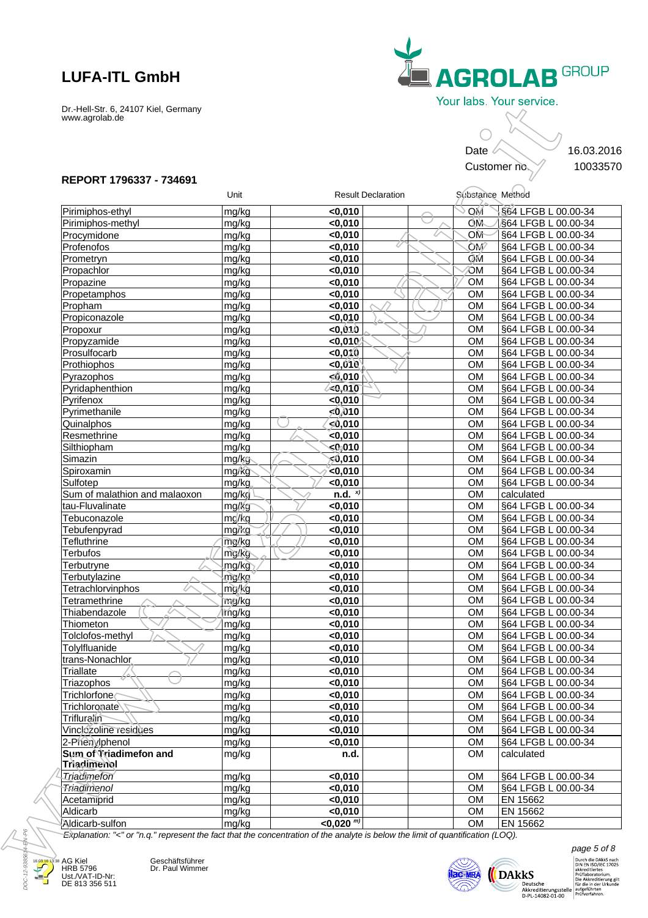

### **REPORT 1796337 - 734691**

|                                    |                 |                             |                           | Date                   | 16.03.2016<br>Customer no.                 |
|------------------------------------|-----------------|-----------------------------|---------------------------|------------------------|--------------------------------------------|
| REPORT 1796337 - 734691            | Unit            |                             | <b>Result Declaration</b> |                        | Substance Method                           |
| Pirimiphos-ethyl                   | mg/kg           | < 0,010                     |                           | МO                     | S64 LFGB L 00.00-34                        |
| Pirimiphos-methyl                  | mg/kg           | $0,010$                     |                           | OM                     | §64 LFGB L 00.00-34                        |
| Procymidone                        | mg/kg           | <0,010                      |                           | OM                     | §64 LFGB L 00.00-34                        |
| Profenofos                         | mg/kg           | < 0,010                     |                           | <b>OM</b>              | §64 LFGB L 00.00-34                        |
| Prometryn                          | mg/kg           | <0,010                      |                           | ÒМ                     | §64 LFGB L 00.00-34                        |
| Propachlor                         | mg/kg           | $0,010$                     |                           | ЮM                     | §64 LFGB L 00.00-34                        |
| Propazine                          | mg/kg           | < 0,010                     |                           | <b>OM</b>              | §64 LFGB L 00.00-34                        |
| Propetamphos                       | mg/kg           | < 0,010                     |                           | <b>OM</b>              | §64 LFGB L 00.00-34                        |
| Propham                            | mg/kg           | $0,010$                     |                           | <b>OM</b>              | §64 LFGB L 00.00-34                        |
| Propiconazole                      | mg/kg           | <0,010                      |                           | <b>OM</b>              | §64 LFGB L 00.00-34                        |
| Propoxur                           | mg/kg           | 0,040                       |                           | <b>OM</b>              | §64 LFGB L 00.00-34                        |
| Propyzamide                        | mg/kg           | < 0,010                     |                           | <b>OM</b>              | §64 LFGB L 00.00-34                        |
| Prosulfocarb                       | mg/kg           | $<$ 0,010                   |                           | <b>OM</b>              | §64 LFGB L 00.00-34                        |
| Prothiophos                        | mg/kg           | <0,010                      |                           | <b>OM</b>              | §64 LFGB L 00.00-34                        |
| Pyrazophos<br>Pyridaphenthion      | mg/kg           | 50,010<br>$\leq 0.010$      |                           | <b>OM</b><br><b>OM</b> | §64 LFGB L 00.00-34                        |
| Pyrifenox                          | mg/kg<br>mg/kg  | <0,010                      |                           | <b>OM</b>              | §64 LFGB L 00.00-34<br>§64 LFGB L 00.00-34 |
| Pyrimethanile                      | mg/kg           | 50,010                      |                           | <b>OM</b>              | §64 LFGB L 00.00-34                        |
| Quinalphos                         | mg/kg           | 10,0⊜∕≽                     |                           | <b>OM</b>              | §64 LFGB L 00.00-34                        |
| Resmethrine                        | mg/kg           | < 0,010                     |                           | <b>OM</b>              | §64 LFGB L 00.00-34                        |
| Silthiopham                        | mg/kg           | $0$ 010                     |                           | <b>OM</b>              | §64 LFGB L 00.00-34                        |
| Simazin                            | mg/kg           | 0,010,∂                     |                           | <b>OM</b>              | §64 LFGB L 00.00-34                        |
| Spiroxamin                         | mg/kg           | < 0,010                     |                           | <b>OM</b>              | §64 LFGB L 00.00-34                        |
| Sulfotep                           | mg/kg           | $0,010$                     |                           | <b>OM</b>              | §64 LFGB L 00.00-34                        |
| Sum of malathion and malaoxon      | mg/kg           | $n.d.$ $x)$                 |                           | <b>OM</b>              | calculated                                 |
| tau-Fluvalinate                    | mg/kg           | $0,010$                     |                           | <b>OM</b>              | §64 LFGB L 00.00-34                        |
| Tebuconazole                       | mg/kg           | < 0,010                     |                           | <b>OM</b>              | §64 LFGB L 00.00-34                        |
| Tebufenpyrad                       | mg/kg           | < 0,010                     |                           | <b>OM</b>              | §64 LFGB L 00.00-34                        |
| Tefluthrine                        | mg/kg           | $0,010$                     |                           | <b>OM</b>              | §64 LFGB L 00.00-34                        |
| <b>Terbufos</b>                    | mg/kg           | < 0,010                     |                           | <b>OM</b>              | §64 LFGB L 00.00-34                        |
| Terbutryne                         | mg/kg           | <0,010                      |                           | <b>OM</b>              | §64 LFGB L 00.00-34                        |
| Terbutylazine                      | mg/kg           | < 0,010                     |                           | <b>OM</b>              | §64 LFGB L 00.00-34                        |
| Tetrachlorvinphos<br>Tetramethrine | mg/kg<br>nig/kg | < 0,010<br>$0,010$          |                           | OM<br>OM.              | §64 LFGB L 00.00-34<br>§64 LFGB L 00.00-34 |
| Thiabendazole                      | mg/kg           | $0,010$                     |                           | <b>OM</b>              | §64 LFGB L 00.00-34                        |
| Thiometon                          | mg/kg           | <0,010                      |                           | <b>OM</b>              | §64 LFGB L 00.00-34                        |
| Tolclofos-methyl                   | mg/kg           | < 0,010                     |                           | <b>OM</b>              | §64 LFGB L 00.00-34                        |
| Tolylfluanide                      | mg/kg           | $0,010$                     |                           | <b>OM</b>              | §64 LFGB L 00.00-34                        |
| trans-Nonachlor                    | mg/kg           | $0,010$                     |                           | <b>OM</b>              | §64 LFGB L 00.00-34                        |
| <b>Triallate</b>                   | mg/kg           | $0,010$                     |                           | <b>OM</b>              | §64 LFGB L 00.00-34                        |
| Triazophos                         | mg/kg           | $0,010$                     |                           | <b>OM</b>              | §64 LFGB L 00.00-34                        |
| Trichlorfone                       | mg/kg           | < 0,010                     |                           | <b>OM</b>              | §64 LFGB L 00.00-34                        |
| Trichloronate                      | mg/kg           | <0,010                      |                           | <b>OM</b>              | §64 LFGB L 00.00-34                        |
| Trifluralin                        | mg/kg           | $0,010$                     |                           | <b>OM</b>              | §64 LFGB L 00.00-34                        |
| Vinclozoline residues              | mg/kg           | $0,010$                     |                           | <b>OM</b>              | §64 LFGB L 00.00-34                        |
| 2-Phenylphenol                     | mg/kg           | $0,010$                     |                           | <b>OM</b>              | §64 LFGB L 00.00-34                        |
| Sum of Vriadimefon and             | mg/kg           | n.d.                        |                           | <b>OM</b>              | calculated                                 |
| Triadimenol<br>Triadimefon         | mg/kg           |                             |                           | <b>OM</b>              | §64 LFGB L 00.00-34                        |
| <b>Triadimenol</b>                 | mg/kg           | $0,010$<br><0,010           |                           | <b>OM</b>              | §64 LFGB L 00.00-34                        |
| Acetamiprid                        | mg/kg           | < 0,010                     |                           | <b>OM</b>              | EN 15662                                   |
| Aldicarb                           | mg/kg           | < 0,010                     |                           | <b>OM</b>              | EN 15662                                   |
| Aldicarb-sulfon                    | mg/kg           | $<$ 0,020 $^{\overline{m}}$ |                           | <b>OM</b>              | EN 15662                                   |



AG Kiel HRB 5796 Ust./VAT-ID-Nr: DE 813 356 511 Geschäftsführer<br>Dr. Paul Wimmer



 $\begin{array}{ll} \textit{page 5 of 8} \\ & \textit{purple 5 of 8} \\ & \textit{blue 180} \\ & \textit{blue 181} \\ & \textit{blue 181} \\ & \textit{blue 201} \\ & \textit{blue 31} \\ & \textit{blue 4krediterung.} \\ & \textit{blue 4krediterung.} \\ & \textit{blue 4krediterung.} \\ & \textit{blue 54} \\ & \textit{blue 61} \\ \textit{blue 7} \\ \textit{blue 81} \\ \textit{blue 9} \\ \textit{blue 7} \\ \textit{blue 8} \\ \textit{blue 9} \\ \textit{$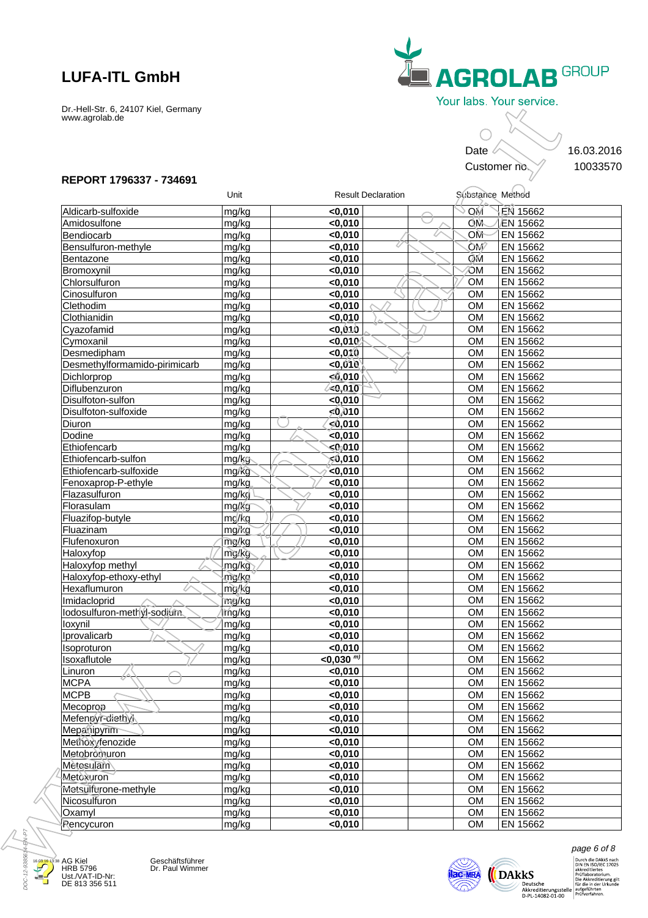

### **REPORT 1796337 - 734691**

|                                      |                |                    |                           | Date                   | Customer no.         | 16.03.2016 |
|--------------------------------------|----------------|--------------------|---------------------------|------------------------|----------------------|------------|
| REPORT 1796337 - 734691              | Unit           |                    | <b>Result Declaration</b> | Substance Method       |                      |            |
| Aldicarb-sulfoxide                   | mg/kg          | < 0,010            |                           | MO(                    | EN 15662             |            |
| Amidosulfone                         | mg/kg          | < 0,010            |                           | OM                     | EN 15662             |            |
| Bendiocarb                           | mg/kg          | < 0,010            |                           | OM                     | EN 15662             |            |
| Bensulfuron-methyle                  | mg/kg          | < 0,010            |                           | <b>OM</b>              | EN 15662             |            |
| Bentazone                            | mg/kg          | <0.010             |                           | ÒМ                     | EN 15662             |            |
| Bromoxynil                           | mg/kg          | < 0,010            |                           | ЮM                     | EN 15662             |            |
| Chlorsulfuron                        | mg/kg          | < 0,010            |                           | <b>OM</b>              | EN 15662             |            |
| Cinosulfuron                         | mg/kg          | < 0,010            |                           | <b>OM</b>              | EN 15662             |            |
| Clethodim                            | mg/kg          | < 0,010            |                           | <b>OM</b>              | EN 15662             |            |
| Clothianidin                         | mg/kg          | < 0,010            |                           | <b>OM</b>              | EN 15662             |            |
| Cyazofamid                           | mg/kg          | 0,040              |                           | <b>OM</b>              | EN 15662             |            |
| Cymoxanil                            | mg/kg          | < 0,010            |                           | <b>OM</b>              | EN 15662             |            |
| Desmedipham                          | mg/kg          | < 0,010            |                           | <b>OM</b>              | EN 15662             |            |
| Desmethylformamido-pirimicarb        | mg/kg          | < 0,010            |                           | <b>OM</b>              | EN 15662             |            |
| Dichlorprop                          | mg/kg          | 50,010             |                           | <b>OM</b>              | EN 15662             |            |
| Diflubenzuron                        | mg/kg          | <0,010             |                           | <b>OM</b>              | EN 15662             |            |
| Disulfoton-sulfon                    | mg/kg          | $0,010$            |                           | <b>OM</b>              | EN 15662             |            |
| Disulfoton-sulfoxide                 | mg/kg          | 50,010             |                           | <b>OM</b>              | EN 15662             |            |
| Diuron                               | mg/kg          | 10,0∕⊱∕            |                           | <b>OM</b>              | EN 15662             |            |
| Dodine                               | mg/kg          | $\sim 0,010$       |                           | <b>OM</b>              | EN 15662             |            |
| Ethiofencarb                         | mg/kg          | $0$ 010            |                           | <b>OM</b>              | EN 15662             |            |
| Ethiofencarb-sulfon                  | mg/kg          | 010,ڨج             |                           | <b>OM</b>              | EN 15662             |            |
| Ethiofencarb-sulfoxide               | mg/kg          | $\sim$ 0,010       |                           | <b>OM</b>              | EN 15662<br>EN 15662 |            |
| Fenoxaprop-P-ethyle<br>Flazasulfuron | mg/kg          | $0,010$            |                           | <b>OM</b><br><b>OM</b> |                      |            |
|                                      | mg/kg          | $0,010$            |                           | <b>OM</b>              | EN 15662             |            |
| Florasulam                           | mg/kg          | $0,010$            |                           | <b>OM</b>              | EN 15662<br>EN 15662 |            |
| Fluazifop-butyle<br>Fluazinam        | mg/kg<br>mg/kg | < 0,010<br>< 0,010 |                           | <b>OM</b>              | EN 15662             |            |
| Flufenoxuron                         | mg/kg          | < 0,010            |                           | <b>OM</b>              | EN 15662             |            |
| Haloxyfop                            | mg/kg          | < 0,010            |                           | <b>OM</b>              | EN 15662             |            |
| Haloxyfop methyl                     | mg/kg          | < 0,010            |                           | <b>OM</b>              | EN 15662             |            |
| Haloxyfop-ethoxy-ethyl               | mg/kg          | $0,010$            |                           | <b>OM</b>              | EN 15662             |            |
| Hexaflumuron                         | mg/kg          | < 0,010            |                           | OM                     | EN 15662             |            |
| Imidacloprid                         | ™ig/kg         | < 0,010            |                           | OM                     | EN 15662             |            |
| lodosulfuron-methyl-sodiam.          | mg/kg          | < 0,010            |                           | <b>OM</b>              | EN 15662             |            |
| loxynil                              | mg/kg          | < 0,010            |                           | <b>OM</b>              | EN 15662             |            |
| Iprovalicarb                         | mg/kg          | < 0,010            |                           | <b>OM</b>              | EN 15662             |            |
| Isoproturon                          | mg/kg          | < 0,010            |                           | <b>OM</b>              | EN 15662             |            |
| Isoxaflutole                         | mg/kg          | $<$ 0,030 m)       |                           | <b>OM</b>              | EN 15662             |            |
| Linuron                              | mg/kg          | < 0,010            |                           | <b>OM</b>              | EN 15662             |            |
| <b>MCPA</b>                          | mg/kg          | < 0,010            |                           | <b>OM</b>              | EN 15662             |            |
| <b>MCPB</b>                          | mg/kg          | < 0,010            |                           | <b>OM</b>              | EN 15662             |            |
| Mecoprop                             | mg/kg          | < 0,010            |                           | <b>OM</b>              | EN 15662             |            |
| Mefenpyr-diethyl                     | mg/kg          | < 0,010            |                           | <b>OM</b>              | EN 15662             |            |
| Mepanipyrim                          | mg/kg          | < 0,010            |                           | <b>OM</b>              | EN 15662             |            |
| Methoxyfenozide                      | mg/kg          | $0,010$            |                           | <b>OM</b>              | EN 15662             |            |
| Metobromuron                         | mg/kg          | < 0,010            |                           | <b>OM</b>              | EN 15662             |            |
| Metosulam                            | mg/kg          | < 0,010            |                           | <b>OM</b>              | EN 15662             |            |
| Metoxuron                            | mg/kg          | < 0,010            |                           | <b>OM</b>              | EN 15662             |            |
| Metsulfurone-methyle                 | mg/kg          | < 0,010            |                           | <b>OM</b>              | EN 15662             |            |
| Nicosulfuron                         | mg/kg          | < 0,010            |                           | OM                     | EN 15662             |            |
| Oxamyl                               | mg/kg          | < 0,010            |                           | <b>OM</b>              | EN 15662             |            |
| Rencycuron                           | mg/kg          | < 0,010            |                           | <b>OM</b>              | EN 15662             |            |



AG Kiel HRB 5796 Ust./VAT-ID-Nr: DE 813 356 511

Geschäftsführer<br>Dr. Paul Wimmer



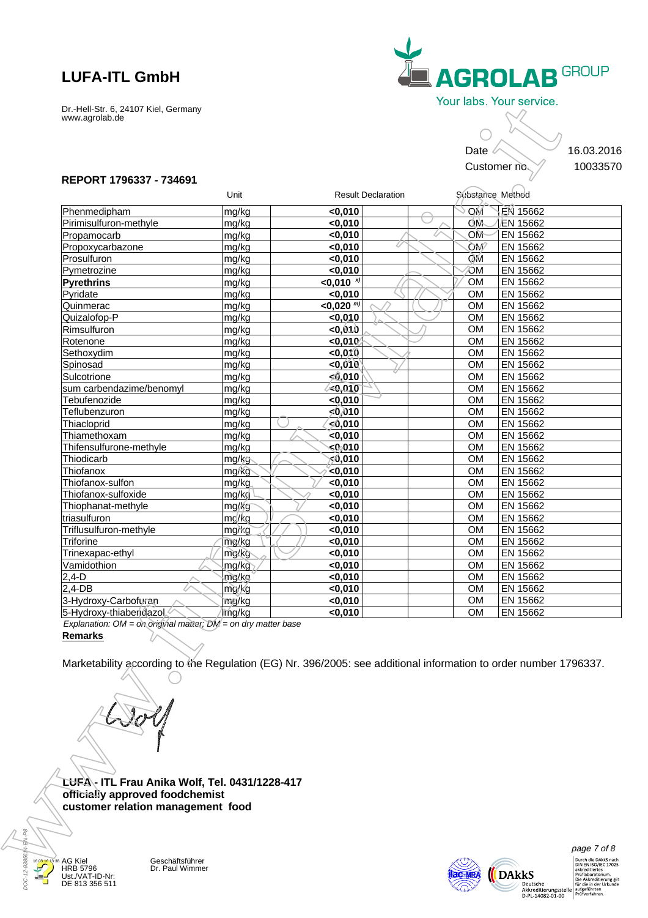

#### **REPORT 1796337 - 734691**

|                                                                                                                  |                 |                             |                           | Date                   |                      |
|------------------------------------------------------------------------------------------------------------------|-----------------|-----------------------------|---------------------------|------------------------|----------------------|
|                                                                                                                  |                 |                             |                           |                        | Customer no.         |
| REPORT 1796337 - 734691                                                                                          |                 |                             |                           |                        |                      |
|                                                                                                                  | Unit            |                             | <b>Result Declaration</b> | Substance Method       |                      |
| Phenmedipham                                                                                                     | mg/kg           | < 0,010                     |                           | МQ                     | EN 15662             |
| Pirimisulfuron-methyle                                                                                           | mg/kg           | < 0,010                     |                           | OM                     | EN 15662             |
| Propamocarb                                                                                                      | mg/kg           | < 0,010                     |                           | OM                     | EN 15662             |
| Propoxycarbazone                                                                                                 | mg/kg           | $0,010$                     |                           | <b>OM</b>              | EN 15662             |
| Prosulfuron                                                                                                      | mg/kg           | < 0,010                     |                           | ÒМ                     | EN 15662             |
| Pymetrozine                                                                                                      | mg/kg           | < 0,010                     |                           | ЮM                     | EN 15662             |
| Pyrethrins<br>Pyridate                                                                                           | mg/kg<br>mg/kg  | $< 0,010$ $x$ )<br>< 0,010  |                           | <b>OM</b><br><b>OM</b> | EN 15662<br>EN 15662 |
| Quinmerac                                                                                                        | mg/kg           | $<$ 0,020 $^{\overline{m}}$ |                           | <b>OM</b>              | EN 15662             |
| Quizalofop-P                                                                                                     | mg/kg           | < 0,010                     |                           | <b>OM</b>              | EN 15662             |
| Rimsulfuron                                                                                                      | mg/kg           | 0,040                       |                           | <b>OM</b>              | EN 15662             |
| Rotenone                                                                                                         | mg/kg           | $0,010$                     |                           | <b>OM</b>              | EN 15662             |
| Sethoxydim                                                                                                       | mg/kg           | < 0,010                     |                           | <b>OM</b>              | EN 15662             |
| Spinosad                                                                                                         | mg/kg           | < 0,010                     |                           | <b>OM</b>              | EN 15662             |
| Sulcotrione                                                                                                      | mg/kg           | 50,010                      |                           | <b>OM</b>              | EN 15662             |
| sum carbendazime/benomyl                                                                                         | mg/kg           | <0,010                      |                           | <b>OM</b>              | EN 15662             |
| Tebufenozide                                                                                                     | mg/kg           | $0,010$                     |                           | <b>OM</b>              | EN 15662             |
| Teflubenzuron                                                                                                    | mg/kg           | 50,010                      |                           | <b>OM</b>              | EN 15662             |
| Thiacloprid                                                                                                      | mg/kg           | 0,010⊱∕                     |                           | <b>OM</b>              | EN 15662             |
| Thiamethoxam                                                                                                     | mg/kg           | $\le 0,010$                 |                           | <b>OM</b>              | EN 15662             |
| Thifensulfurone-methyle<br>Thiodicarb                                                                            | mg/kg<br>mg/kg  | $0$ 010<br>010,∂⊳ٍ          |                           | <b>OM</b><br><b>OM</b> | EN 15662<br>EN 15662 |
| Thiofanox                                                                                                        | mg/kg           | $\sim$ 0,010                |                           | <b>OM</b>              | EN 15662             |
| Thiofanox-sulfon                                                                                                 | mg/kg           | $0,010$                     |                           | <b>OM</b>              | EN 15662             |
| Thiofanox-sulfoxide                                                                                              | mg/kg           | < 0,010                     |                           | <b>OM</b>              | EN 15662             |
| Thiophanat-methyle                                                                                               | mg/kg           | <0,010                      |                           | <b>OM</b>              | EN 15662             |
| triasulfuron                                                                                                     | mg/kg           | < 0,010                     |                           | <b>OM</b>              | EN 15662             |
| Triflusulfuron-methyle                                                                                           | mg/kg           | $0,010$                     |                           | <b>OM</b>              | EN 15662             |
| Triforine                                                                                                        | mg/kg           | < 0,010                     |                           | <b>OM</b>              | EN 15662             |
| Trinexapac-ethyl                                                                                                 | mg/kg           | < 0,010                     |                           | <b>OM</b>              | EN 15662             |
| Vamidothion                                                                                                      | mg/kg           | $0,010$                     |                           | <b>OM</b>              | EN 15662             |
| $2,4-D$<br>$2,4-DB$                                                                                              | mg/kg           | < 0,010                     |                           | <b>OM</b>              | EN 15662             |
| 3-Hydroxy-Carbofuran                                                                                             | mg/kg<br>mig/kg | < 0,010<br>< 0,010          |                           | <b>OM</b><br><b>OM</b> | EN 15662<br>EN 15662 |
| 5-Hydroxy-thiabendazol                                                                                           | mg/kg           | < 0,010                     |                           | ОM                     | EN 15662             |
| Explanation: $OM = on$ original matter; $DM = on$ dry matter base                                                |                 |                             |                           |                        |                      |
| <b>Remarks</b>                                                                                                   |                 |                             |                           |                        |                      |
|                                                                                                                  |                 |                             |                           |                        |                      |
| Marketability according to the Regulation (EG) Nr. 396/2005: see additional information to order number 1796337. |                 |                             |                           |                        |                      |
|                                                                                                                  |                 |                             |                           |                        |                      |
|                                                                                                                  |                 |                             |                           |                        |                      |
|                                                                                                                  |                 |                             |                           |                        |                      |
|                                                                                                                  |                 |                             |                           |                        |                      |
|                                                                                                                  |                 |                             |                           |                        |                      |
|                                                                                                                  |                 |                             |                           |                        |                      |
|                                                                                                                  |                 |                             |                           |                        |                      |
|                                                                                                                  |                 |                             |                           |                        |                      |
|                                                                                                                  |                 |                             |                           |                        |                      |
|                                                                                                                  |                 |                             |                           |                        |                      |
| LUFA - ITL Frau Anika Wolf, Tel. 0431/1228-417                                                                   |                 |                             |                           |                        |                      |
| officially approved foodchemist                                                                                  |                 |                             |                           |                        |                      |
| customer relation management food                                                                                |                 |                             |                           |                        |                      |
|                                                                                                                  |                 |                             |                           |                        |                      |